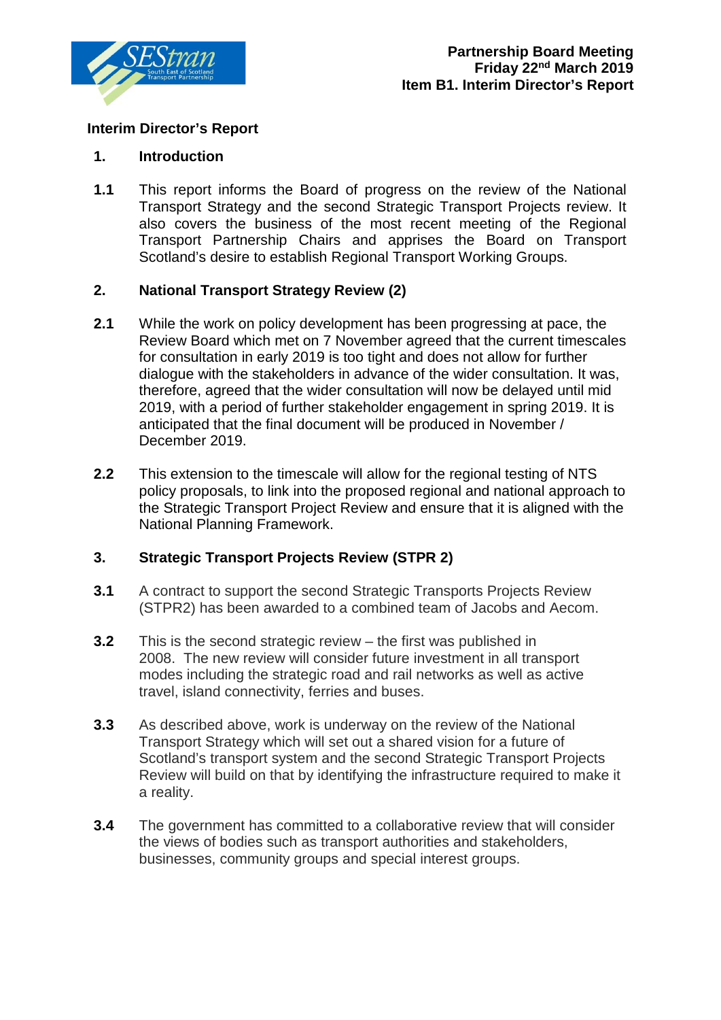

## **Interim Director's Report**

### **1. Introduction**

**1.1** This report informs the Board of progress on the review of the National Transport Strategy and the second Strategic Transport Projects review. It also covers the business of the most recent meeting of the Regional Transport Partnership Chairs and apprises the Board on Transport Scotland's desire to establish Regional Transport Working Groups.

## **2. National Transport Strategy Review (2)**

- **2.1** While the work on policy development has been progressing at pace, the Review Board which met on 7 November agreed that the current timescales for consultation in early 2019 is too tight and does not allow for further dialogue with the stakeholders in advance of the wider consultation. It was, therefore, agreed that the wider consultation will now be delayed until mid 2019, with a period of further stakeholder engagement in spring 2019. It is anticipated that the final document will be produced in November / December 2019.
- **2.2** This extension to the timescale will allow for the regional testing of NTS policy proposals, to link into the proposed regional and national approach to the Strategic Transport Project Review and ensure that it is aligned with the National Planning Framework.

### **3. Strategic Transport Projects Review (STPR 2)**

- **3.1** A contract to support the second Strategic Transports Projects Review (STPR2) has been awarded to a combined team of Jacobs and Aecom.
- **3.2** This is the second strategic review the first was published in 2008. The new review will consider future investment in all transport modes including the strategic road and rail networks as well as active travel, island connectivity, ferries and buses.
- **3.3** As described above, work is underway on the review of the National Transport Strategy which will set out a shared vision for a future of Scotland's transport system and the second Strategic Transport Projects Review will build on that by identifying the infrastructure required to make it a reality.
- **3.4** The government has committed to a collaborative review that will consider the views of bodies such as transport authorities and stakeholders, businesses, community groups and special interest groups.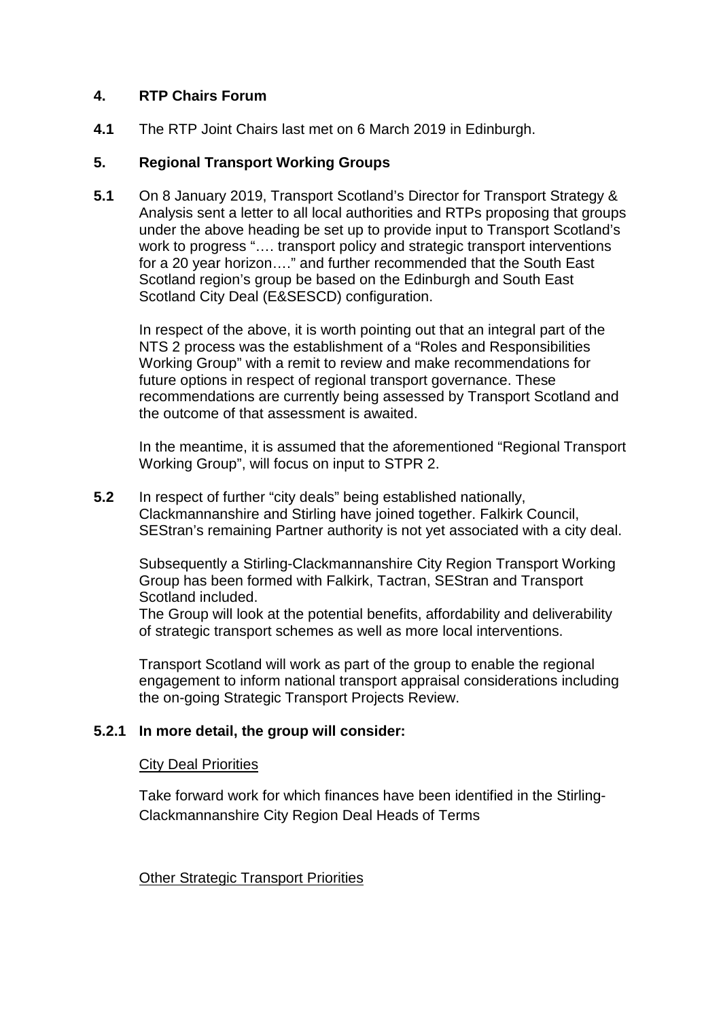## **4. RTP Chairs Forum**

**4.1** The RTP Joint Chairs last met on 6 March 2019 in Edinburgh.

## **5. Regional Transport Working Groups**

**5.1** On 8 January 2019, Transport Scotland's Director for Transport Strategy & Analysis sent a letter to all local authorities and RTPs proposing that groups under the above heading be set up to provide input to Transport Scotland's work to progress "…. transport policy and strategic transport interventions for a 20 year horizon…." and further recommended that the South East Scotland region's group be based on the Edinburgh and South East Scotland City Deal (E&SESCD) configuration.

In respect of the above, it is worth pointing out that an integral part of the NTS 2 process was the establishment of a "Roles and Responsibilities Working Group" with a remit to review and make recommendations for future options in respect of regional transport governance. These recommendations are currently being assessed by Transport Scotland and the outcome of that assessment is awaited.

In the meantime, it is assumed that the aforementioned "Regional Transport Working Group", will focus on input to STPR 2.

**5.2** In respect of further "city deals" being established nationally, Clackmannanshire and Stirling have joined together. Falkirk Council, SEStran's remaining Partner authority is not yet associated with a city deal.

Subsequently a Stirling-Clackmannanshire City Region Transport Working Group has been formed with Falkirk, Tactran, SEStran and Transport Scotland included.

The Group will look at the potential benefits, affordability and deliverability of strategic transport schemes as well as more local interventions.

Transport Scotland will work as part of the group to enable the regional engagement to inform national transport appraisal considerations including the on-going Strategic Transport Projects Review.

# **5.2.1 In more detail, the group will consider:**

### City Deal Priorities

Take forward work for which finances have been identified in the Stirling-Clackmannanshire City Region Deal Heads of Terms

### Other Strategic Transport Priorities